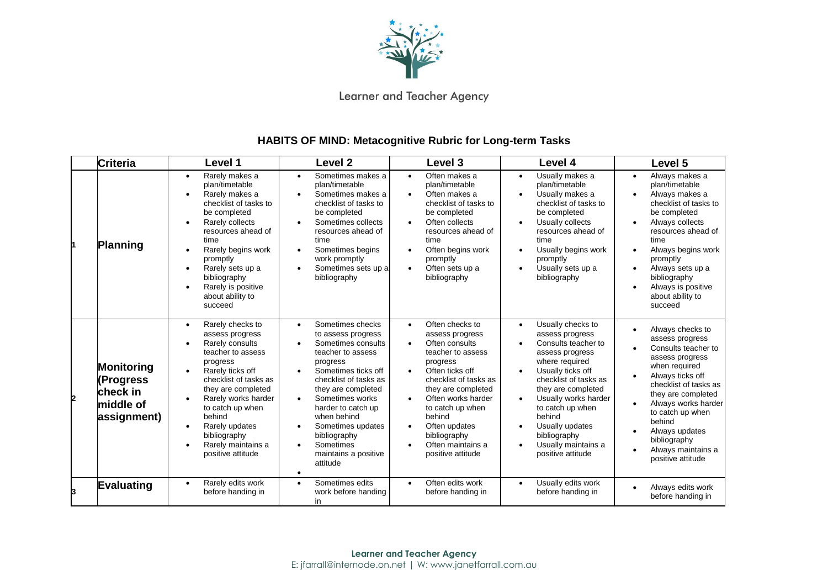

Learner and Teacher Agency

## **HABITS OF MIND: Metacognitive Rubric for Long-term Tasks**

|   | <b>Criteria</b>                                                 | Level 1                                                                                                                                                                                                                                                                                                   | Level <sub>2</sub>                                                                                                                                                                                                                                                                                                                                       | Level 3                                                                                                                                                                                                                                                                                                                                                              | Level 4                                                                                                                                                                                                                                                                                                                | Level 5                                                                                                                                                                                                                                                                                             |
|---|-----------------------------------------------------------------|-----------------------------------------------------------------------------------------------------------------------------------------------------------------------------------------------------------------------------------------------------------------------------------------------------------|----------------------------------------------------------------------------------------------------------------------------------------------------------------------------------------------------------------------------------------------------------------------------------------------------------------------------------------------------------|----------------------------------------------------------------------------------------------------------------------------------------------------------------------------------------------------------------------------------------------------------------------------------------------------------------------------------------------------------------------|------------------------------------------------------------------------------------------------------------------------------------------------------------------------------------------------------------------------------------------------------------------------------------------------------------------------|-----------------------------------------------------------------------------------------------------------------------------------------------------------------------------------------------------------------------------------------------------------------------------------------------------|
|   | Planning                                                        | Rarely makes a<br>$\bullet$<br>plan/timetable<br>Rarely makes a<br>checklist of tasks to<br>be completed<br>Rarely collects<br>resources ahead of<br>time<br>Rarely begins work<br>promptly<br>Rarely sets up a<br>bibliography<br>Rarely is positive<br>about ability to<br>succeed                      | Sometimes makes a<br>plan/timetable<br>Sometimes makes a<br>checklist of tasks to<br>be completed<br>Sometimes collects<br>resources ahead of<br>time<br>Sometimes begins<br>work promptly<br>Sometimes sets up a<br>bibliography                                                                                                                        | Often makes a<br>$\bullet$<br>plan/timetable<br>Often makes a<br>$\bullet$<br>checklist of tasks to<br>be completed<br>Often collects<br>$\bullet$<br>resources ahead of<br>time<br>Often begins work<br>$\bullet$<br>promptly<br>Often sets up a<br>$\bullet$<br>bibliography                                                                                       | Usually makes a<br>$\bullet$<br>plan/timetable<br>Usually makes a<br>checklist of tasks to<br>be completed<br>Usually collects<br>resources ahead of<br>time<br>Usually begins work<br>promptly<br>Usually sets up a<br>bibliography                                                                                   | Always makes a<br>$\bullet$<br>plan/timetable<br>Always makes a<br>checklist of tasks to<br>be completed<br>Always collects<br>resources ahead of<br>time<br>Always begins work<br>promptly<br>Always sets up a<br>bibliography<br>Always is positive<br>about ability to<br>succeed                |
| 2 | Monitoring<br>(Progress<br>check in<br>middle of<br>assignment) | Rarely checks to<br>$\bullet$<br>assess progress<br>Rarely consults<br>teacher to assess<br>progress<br>Rarely ticks off<br>checklist of tasks as<br>they are completed<br>Rarely works harder<br>to catch up when<br>behind<br>Rarely updates<br>bibliography<br>Rarely maintains a<br>positive attitude | Sometimes checks<br>$\bullet$<br>to assess progress<br>Sometimes consults<br>teacher to assess<br>progress<br>Sometimes ticks off<br>checklist of tasks as<br>they are completed<br>Sometimes works<br>$\bullet$<br>harder to catch up<br>when behind<br>Sometimes updates<br>bibliography<br>Sometimes<br>maintains a positive<br>attitude<br>$\bullet$ | Often checks to<br>$\bullet$<br>assess progress<br>Often consults<br>$\bullet$<br>teacher to assess<br>progress<br>Often ticks off<br>$\bullet$<br>checklist of tasks as<br>they are completed<br>Often works harder<br>$\bullet$<br>to catch up when<br>behind<br>Often updates<br>$\bullet$<br>bibliography<br>Often maintains a<br>$\bullet$<br>positive attitude | Usually checks to<br>$\bullet$<br>assess progress<br>Consults teacher to<br>assess progress<br>where required<br>Usually ticks off<br>checklist of tasks as<br>they are completed<br>Usually works harder<br>to catch up when<br>behind<br>Usually updates<br>bibliography<br>Usually maintains a<br>positive attitude | Always checks to<br>assess progress<br>Consults teacher to<br>assess progress<br>when required<br>Always ticks off<br>checklist of tasks as<br>they are completed<br>Always works harder<br>to catch up when<br>behind<br>Always updates<br>bibliography<br>Always maintains a<br>positive attitude |
| 3 | Evaluating                                                      | Rarely edits work<br>$\bullet$<br>before handing in                                                                                                                                                                                                                                                       | Sometimes edits<br>$\bullet$<br>work before handing<br>in                                                                                                                                                                                                                                                                                                | Often edits work<br>$\bullet$<br>before handing in                                                                                                                                                                                                                                                                                                                   | Usually edits work<br>$\bullet$<br>before handing in                                                                                                                                                                                                                                                                   | Always edits work<br>before handing in                                                                                                                                                                                                                                                              |